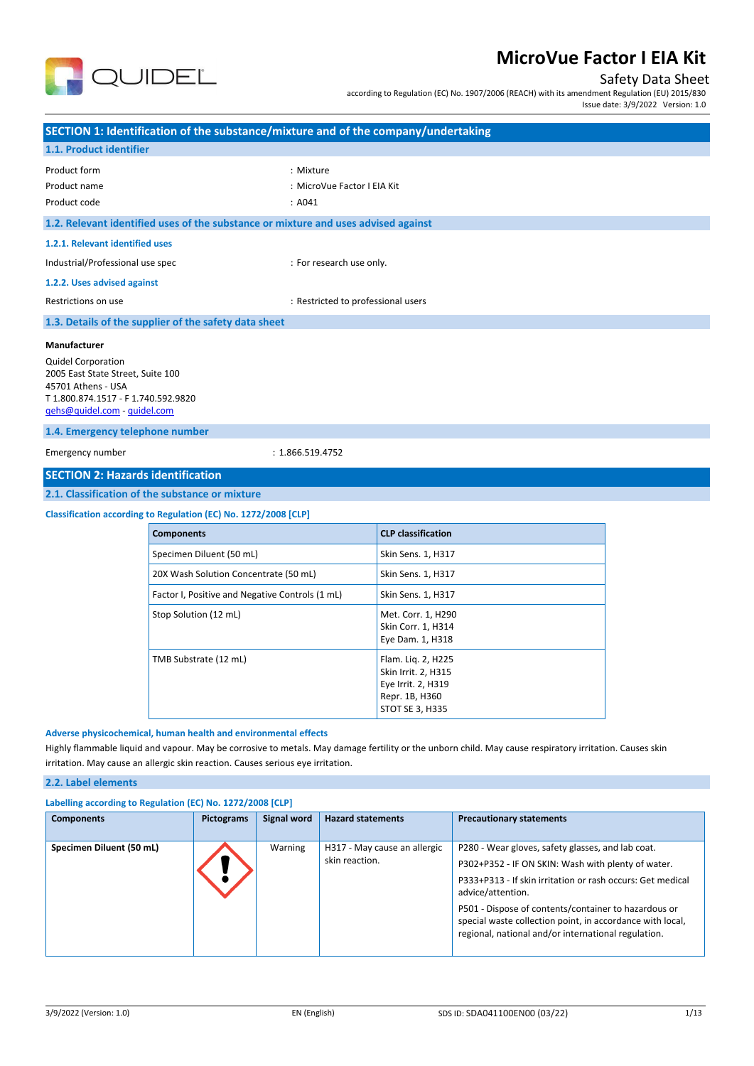

### Safety Data Sheet

according to Regulation (EC) No. 1907/2006 (REACH) with its amendment Regulation (EU) 2015/830

Issue date: 3/9/2022 Version: 1.0

|                                                                                                                                                                                                                                                                                                               |                                                |                                                 |                     |                                                                                                      |                    |                                 | $1330C$ and $1972C$ $2022$ version. I.G |  |
|---------------------------------------------------------------------------------------------------------------------------------------------------------------------------------------------------------------------------------------------------------------------------------------------------------------|------------------------------------------------|-------------------------------------------------|---------------------|------------------------------------------------------------------------------------------------------|--------------------|---------------------------------|-----------------------------------------|--|
| SECTION 1: Identification of the substance/mixture and of the company/undertaking                                                                                                                                                                                                                             |                                                |                                                 |                     |                                                                                                      |                    |                                 |                                         |  |
| 1.1. Product identifier                                                                                                                                                                                                                                                                                       |                                                |                                                 |                     |                                                                                                      |                    |                                 |                                         |  |
| Product form<br>Product name<br>Product code                                                                                                                                                                                                                                                                  |                                                |                                                 | : Mixture<br>: A041 | : MicroVue Factor I EIA Kit                                                                          |                    |                                 |                                         |  |
| 1.2. Relevant identified uses of the substance or mixture and uses advised against                                                                                                                                                                                                                            |                                                |                                                 |                     |                                                                                                      |                    |                                 |                                         |  |
| 1.2.1. Relevant identified uses                                                                                                                                                                                                                                                                               |                                                |                                                 |                     |                                                                                                      |                    |                                 |                                         |  |
| Industrial/Professional use spec                                                                                                                                                                                                                                                                              |                                                |                                                 |                     | : For research use only.                                                                             |                    |                                 |                                         |  |
| 1.2.2. Uses advised against                                                                                                                                                                                                                                                                                   |                                                |                                                 |                     |                                                                                                      |                    |                                 |                                         |  |
| Restrictions on use                                                                                                                                                                                                                                                                                           |                                                |                                                 |                     | : Restricted to professional users                                                                   |                    |                                 |                                         |  |
| 1.3. Details of the supplier of the safety data sheet                                                                                                                                                                                                                                                         |                                                |                                                 |                     |                                                                                                      |                    |                                 |                                         |  |
| Manufacturer                                                                                                                                                                                                                                                                                                  |                                                |                                                 |                     |                                                                                                      |                    |                                 |                                         |  |
| <b>Quidel Corporation</b><br>2005 East State Street, Suite 100<br>45701 Athens - USA<br>T 1.800.874.1517 - F 1.740.592.9820<br>gehs@quidel.com - guidel.com                                                                                                                                                   |                                                |                                                 |                     |                                                                                                      |                    |                                 |                                         |  |
| 1.4. Emergency telephone number                                                                                                                                                                                                                                                                               |                                                |                                                 |                     |                                                                                                      |                    |                                 |                                         |  |
| Emergency number                                                                                                                                                                                                                                                                                              |                                                |                                                 | : 1.866.519.4752    |                                                                                                      |                    |                                 |                                         |  |
| <b>SECTION 2: Hazards identification</b>                                                                                                                                                                                                                                                                      |                                                |                                                 |                     |                                                                                                      |                    |                                 |                                         |  |
| 2.1. Classification of the substance or mixture                                                                                                                                                                                                                                                               |                                                |                                                 |                     |                                                                                                      |                    |                                 |                                         |  |
| Classification according to Regulation (EC) No. 1272/2008 [CLP]                                                                                                                                                                                                                                               |                                                |                                                 |                     |                                                                                                      |                    |                                 |                                         |  |
|                                                                                                                                                                                                                                                                                                               | <b>Components</b><br><b>CLP classification</b> |                                                 |                     |                                                                                                      |                    |                                 |                                         |  |
|                                                                                                                                                                                                                                                                                                               | Specimen Diluent (50 mL)                       |                                                 |                     | Skin Sens. 1, H317                                                                                   |                    |                                 |                                         |  |
|                                                                                                                                                                                                                                                                                                               |                                                | 20X Wash Solution Concentrate (50 mL)           |                     |                                                                                                      | Skin Sens. 1, H317 |                                 |                                         |  |
|                                                                                                                                                                                                                                                                                                               |                                                | Factor I, Positive and Negative Controls (1 mL) |                     |                                                                                                      | Skin Sens. 1, H317 |                                 |                                         |  |
|                                                                                                                                                                                                                                                                                                               | Stop Solution (12 mL)                          |                                                 |                     | Met. Corr. 1, H290<br>Skin Corr. 1, H314<br>Eye Dam. 1, H318                                         |                    |                                 |                                         |  |
| TMB Substrate (12 mL)                                                                                                                                                                                                                                                                                         |                                                |                                                 |                     | Flam. Lig. 2, H225<br>Skin Irrit. 2, H315<br>Eye Irrit. 2, H319<br>Repr. 1B, H360<br>STOT SE 3, H335 |                    |                                 |                                         |  |
| Adverse physicochemical, human health and environmental effects<br>Highly flammable liquid and vapour. May be corrosive to metals. May damage fertility or the unborn child. May cause respiratory irritation. Causes skin<br>irritation. May cause an allergic skin reaction. Causes serious eye irritation. |                                                |                                                 |                     |                                                                                                      |                    |                                 |                                         |  |
| 2.2. Label elements                                                                                                                                                                                                                                                                                           |                                                |                                                 |                     |                                                                                                      |                    |                                 |                                         |  |
| Labelling according to Regulation (EC) No. 1272/2008 [CLP]                                                                                                                                                                                                                                                    |                                                |                                                 |                     |                                                                                                      |                    |                                 |                                         |  |
| <b>Components</b>                                                                                                                                                                                                                                                                                             |                                                | <b>Pictograms</b>                               | <b>Signal word</b>  | <b>Hazard statements</b>                                                                             |                    | <b>Precautionary statements</b> |                                         |  |

| <b>Components</b>        | Pictograms | Signal word | <b>Hazard statements</b>                       | <b>Precautionary statements</b>                                                                                                                                                                                                                                                                                                                                        |
|--------------------------|------------|-------------|------------------------------------------------|------------------------------------------------------------------------------------------------------------------------------------------------------------------------------------------------------------------------------------------------------------------------------------------------------------------------------------------------------------------------|
| Specimen Diluent (50 mL) |            | Warning     | H317 - May cause an allergic<br>skin reaction. | P280 - Wear gloves, safety glasses, and lab coat.<br>P302+P352 - IF ON SKIN: Wash with plenty of water.<br>P333+P313 - If skin irritation or rash occurs: Get medical<br>advice/attention.<br>P501 - Dispose of contents/container to hazardous or<br>special waste collection point, in accordance with local,<br>regional, national and/or international regulation. |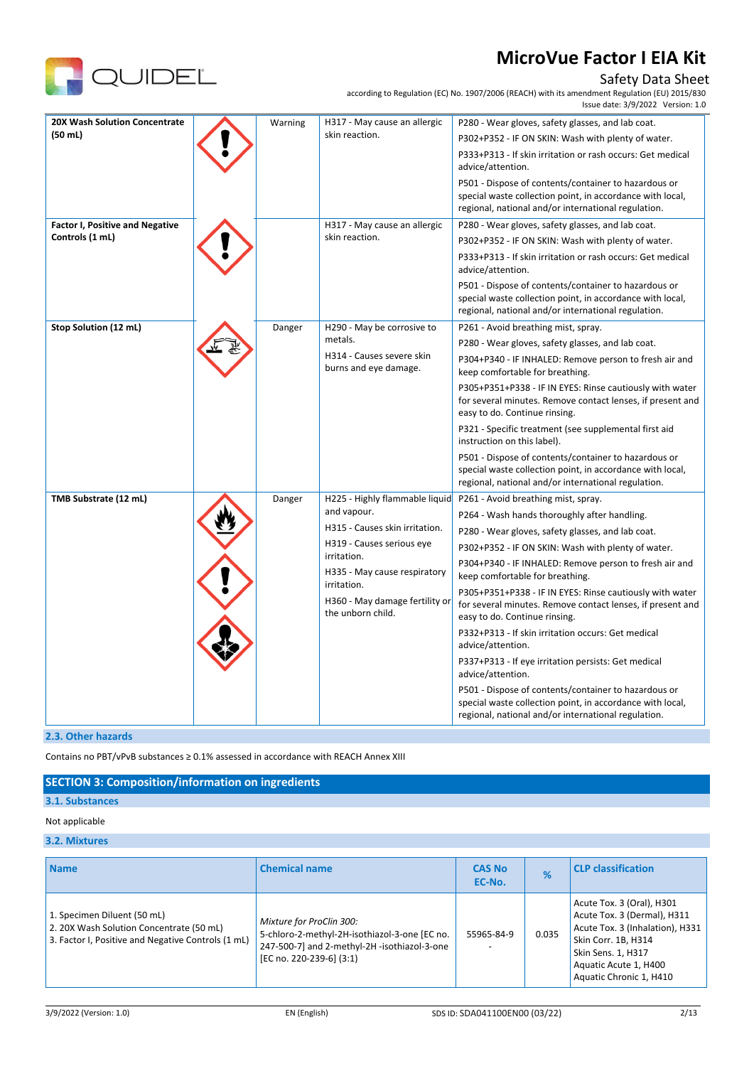

## Safety Data Sheet

according to Regulation (EC) No. 1907/2006 (REACH) with its amendment Regulation (EU) 2015/830

|                                        |         |                                                                                                    | Issue date: 3/9/2022 Version: 1.0                                                                                                                                        |
|----------------------------------------|---------|----------------------------------------------------------------------------------------------------|--------------------------------------------------------------------------------------------------------------------------------------------------------------------------|
| <b>20X Wash Solution Concentrate</b>   | Warning | H317 - May cause an allergic                                                                       | P280 - Wear gloves, safety glasses, and lab coat.                                                                                                                        |
| (50 ml)                                |         | skin reaction.                                                                                     | P302+P352 - IF ON SKIN: Wash with plenty of water.                                                                                                                       |
|                                        |         |                                                                                                    | P333+P313 - If skin irritation or rash occurs: Get medical<br>advice/attention.                                                                                          |
|                                        |         |                                                                                                    | P501 - Dispose of contents/container to hazardous or<br>special waste collection point, in accordance with local,<br>regional, national and/or international regulation. |
| <b>Factor I, Positive and Negative</b> |         | H317 - May cause an allergic                                                                       | P280 - Wear gloves, safety glasses, and lab coat.                                                                                                                        |
| Controls (1 mL)                        |         | skin reaction.                                                                                     | P302+P352 - IF ON SKIN: Wash with plenty of water.                                                                                                                       |
|                                        |         |                                                                                                    | P333+P313 - If skin irritation or rash occurs: Get medical<br>advice/attention.                                                                                          |
|                                        |         |                                                                                                    | P501 - Dispose of contents/container to hazardous or<br>special waste collection point, in accordance with local,<br>regional, national and/or international regulation. |
| Stop Solution (12 mL)                  | Danger  | H290 - May be corrosive to                                                                         | P261 - Avoid breathing mist, spray.                                                                                                                                      |
|                                        |         | metals.<br>H314 - Causes severe skin<br>burns and eye damage.                                      | P280 - Wear gloves, safety glasses, and lab coat.                                                                                                                        |
|                                        |         |                                                                                                    | P304+P340 - IF INHALED: Remove person to fresh air and<br>keep comfortable for breathing.                                                                                |
|                                        |         |                                                                                                    | P305+P351+P338 - IF IN EYES: Rinse cautiously with water<br>for several minutes. Remove contact lenses, if present and<br>easy to do. Continue rinsing.                  |
|                                        |         |                                                                                                    | P321 - Specific treatment (see supplemental first aid<br>instruction on this label).                                                                                     |
|                                        |         |                                                                                                    | P501 - Dispose of contents/container to hazardous or<br>special waste collection point, in accordance with local,<br>regional, national and/or international regulation. |
| TMB Substrate (12 mL)                  | Danger  | H225 - Highly flammable liquid                                                                     | P261 - Avoid breathing mist, spray.                                                                                                                                      |
|                                        |         | and vapour.                                                                                        | P264 - Wash hands thoroughly after handling.                                                                                                                             |
|                                        |         | H315 - Causes skin irritation.                                                                     | P280 - Wear gloves, safety glasses, and lab coat.                                                                                                                        |
|                                        |         | H319 - Causes serious eye<br>irritation.                                                           | P302+P352 - IF ON SKIN: Wash with plenty of water.                                                                                                                       |
|                                        |         | H335 - May cause respiratory<br>irritation.<br>H360 - May damage fertility or<br>the unborn child. | P304+P340 - IF INHALED: Remove person to fresh air and<br>keep comfortable for breathing.                                                                                |
|                                        |         |                                                                                                    | P305+P351+P338 - IF IN EYES: Rinse cautiously with water<br>for several minutes. Remove contact lenses, if present and<br>easy to do. Continue rinsing.                  |
|                                        |         |                                                                                                    | P332+P313 - If skin irritation occurs: Get medical<br>advice/attention.                                                                                                  |
|                                        |         |                                                                                                    | P337+P313 - If eye irritation persists: Get medical<br>advice/attention.                                                                                                 |
|                                        |         |                                                                                                    | P501 - Dispose of contents/container to hazardous or<br>special waste collection point, in accordance with local,<br>regional, national and/or international regulation. |

#### **2.3. Other hazards**

Contains no PBT/vPvB substances ≥ 0.1% assessed in accordance with REACH Annex XIII

#### **SECTION 3: Composition/information on ingredients**

#### **3.1. Substances**

#### Not applicable

## **3.2. Mixtures**

| <b>Name</b>                                                                                                                   | <b>Chemical name</b>                                                                                                                                  | <b>CAS No</b><br>EC-No. | %     | <b>CLP</b> classification                                                                                                                                                                    |
|-------------------------------------------------------------------------------------------------------------------------------|-------------------------------------------------------------------------------------------------------------------------------------------------------|-------------------------|-------|----------------------------------------------------------------------------------------------------------------------------------------------------------------------------------------------|
| 1. Specimen Diluent (50 mL)<br>2. 20X Wash Solution Concentrate (50 mL)<br>3. Factor I, Positive and Negative Controls (1 mL) | Mixture for ProClin 300:<br>5-chloro-2-methyl-2H-isothiazol-3-one [EC no.<br>247-500-7] and 2-methyl-2H -isothiazol-3-one<br>[EC no. 220-239-6] (3:1) | 55965-84-9              | 0.035 | Acute Tox. 3 (Oral), H301<br>Acute Tox. 3 (Dermal), H311<br>Acute Tox. 3 (Inhalation), H331<br>Skin Corr. 1B, H314<br>Skin Sens. 1, H317<br>Aquatic Acute 1, H400<br>Aquatic Chronic 1, H410 |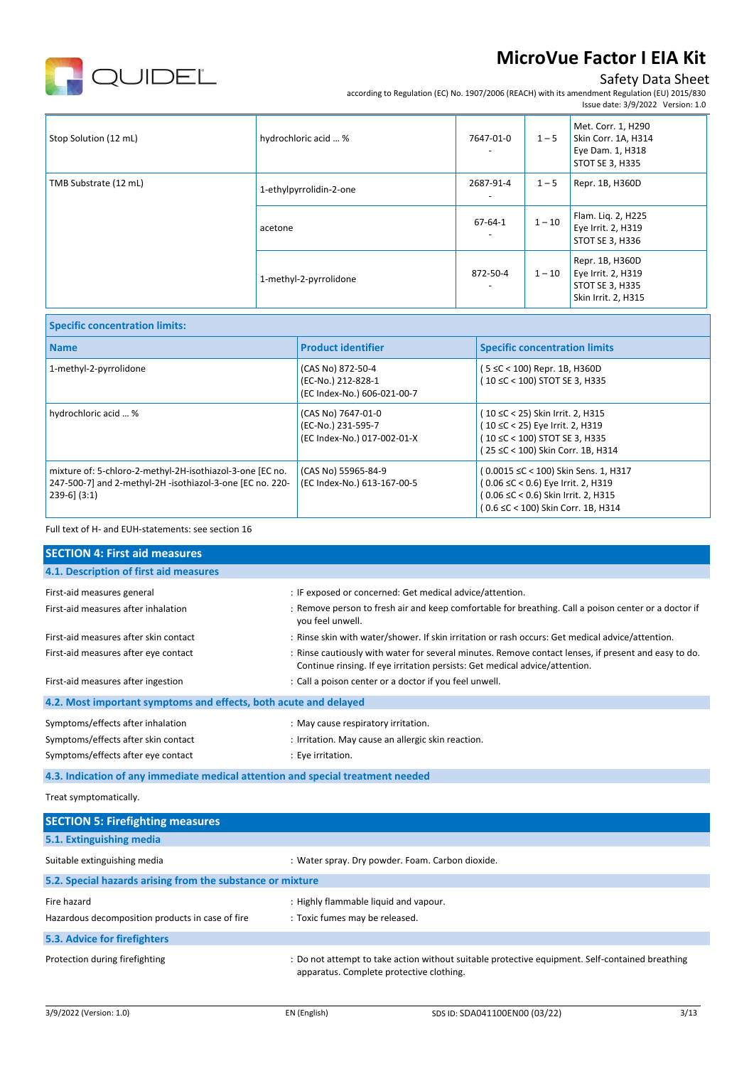

**Specific concentration limits:**

# **MicroVue Factor I EIA Kit**

## Safety Data Sheet

according to Regulation (EC) No. 1907/2006 (REACH) with its amendment Regulation (EU) 2015/830 Issue date: 3/9/2022 Version: 1.0

| Stop Solution (12 mL) | hydrochloric acid  %    | 7647-01-0<br>$\overline{\phantom{a}}$     | $1 - 5$  | Met. Corr. 1, H290<br>Skin Corr. 1A, H314<br>Eye Dam. 1, H318<br>STOT SE 3, H335 |
|-----------------------|-------------------------|-------------------------------------------|----------|----------------------------------------------------------------------------------|
| TMB Substrate (12 mL) | 1-ethylpyrrolidin-2-one | 2687-91-4                                 | $1 - 5$  | Repr. 1B, H360D                                                                  |
|                       | acetone                 | $67 - 64 - 1$<br>$\overline{\phantom{0}}$ | $1 - 10$ | Flam. Lig. 2, H225<br>Eye Irrit. 2, H319<br>STOT SE 3, H336                      |
|                       | 1-methyl-2-pyrrolidone  | 872-50-4                                  | $1 - 10$ | Repr. 1B, H360D<br>Eye Irrit. 2, H319<br>STOT SE 3, H335<br>Skin Irrit. 2, H315  |

| <b>Name</b>                                                                                                                                 | <b>Product identifier</b>                                               | <b>Specific concentration limits</b>                                                                                                                    |
|---------------------------------------------------------------------------------------------------------------------------------------------|-------------------------------------------------------------------------|---------------------------------------------------------------------------------------------------------------------------------------------------------|
| 1-methyl-2-pyrrolidone                                                                                                                      | (CAS No) 872-50-4<br>(EC-No.) 212-828-1<br>(EC Index-No.) 606-021-00-7  | $(5 \leq C < 100)$ Repr. 1B, H360D<br>(10 ≤C < 100) STOT SE 3, H335                                                                                     |
| hydrochloric acid  %                                                                                                                        | (CAS No) 7647-01-0<br>(EC-No.) 231-595-7<br>(EC Index-No.) 017-002-01-X | (10 ≤C < 25) Skin Irrit. 2, H315<br>(10 ≤C < 25) Eye Irrit. 2, H319<br>(10 ≤C < 100) STOT SE 3, H335<br>(25 ≤C < 100) Skin Corr. 1B, H314               |
| mixture of: 5-chloro-2-methyl-2H-isothiazol-3-one [EC no.<br>247-500-7] and 2-methyl-2H -isothiazol-3-one [EC no. 220-<br>$239-6$ ] $(3:1)$ | (CAS No) 55965-84-9<br>(EC Index-No.) 613-167-00-5                      | (0.0015 ≤C < 100) Skin Sens. 1, H317<br>(0.06 ≤C < 0.6) Eye Irrit. 2, H319<br>(0.06 ≤C < 0.6) Skin Irrit. 2, H315<br>(0.6 ≤C < 100) Skin Corr. 1B, H314 |

Full text of H- and EUH-statements: see section 16

## **SECTION 4: First aid measures 4.1. Description of first aid measures** First-aid measures general intervals on the state of the spaced or concerned: Get medical advice/attention. First-aid measures after inhalation : Remove person to fresh air and keep comfortable for breathing. Call a poison center or a doctor if you feel unwell. First-aid measures after skin contact : Rinse skin with water/shower. If skin irritation or rash occurs: Get medical advice/attention. First-aid measures after eye contact : Rinse cautiously with water for several minutes. Remove contact lenses, if present and easy to do. Continue rinsing. If eye irritation persists: Get medical advice/attention. First-aid measures after ingestion  $\qquad \qquad :$  Call a poison center or a doctor if you feel unwell. **4.2. Most important symptoms and effects, both acute and delayed** Symptoms/effects after inhalation  $\cdot$  maximum in May cause respiratory irritation. Symptoms/effects after skin contact : Irritation. May cause an allergic skin reaction. Symptoms/effects after eye contact : Eye irritation.

**4.3. Indication of any immediate medical attention and special treatment needed**

Treat symptomatically.

| <b>SECTION 5: Firefighting measures</b>                    |                                                                                                                                             |
|------------------------------------------------------------|---------------------------------------------------------------------------------------------------------------------------------------------|
| 5.1. Extinguishing media                                   |                                                                                                                                             |
| Suitable extinguishing media                               | : Water spray. Dry powder. Foam. Carbon dioxide.                                                                                            |
| 5.2. Special hazards arising from the substance or mixture |                                                                                                                                             |
| Fire hazard                                                | : Highly flammable liquid and vapour.                                                                                                       |
| Hazardous decomposition products in case of fire           | : Toxic fumes may be released.                                                                                                              |
| 5.3. Advice for firefighters                               |                                                                                                                                             |
| Protection during firefighting                             | : Do not attempt to take action without suitable protective equipment. Self-contained breathing<br>apparatus. Complete protective clothing. |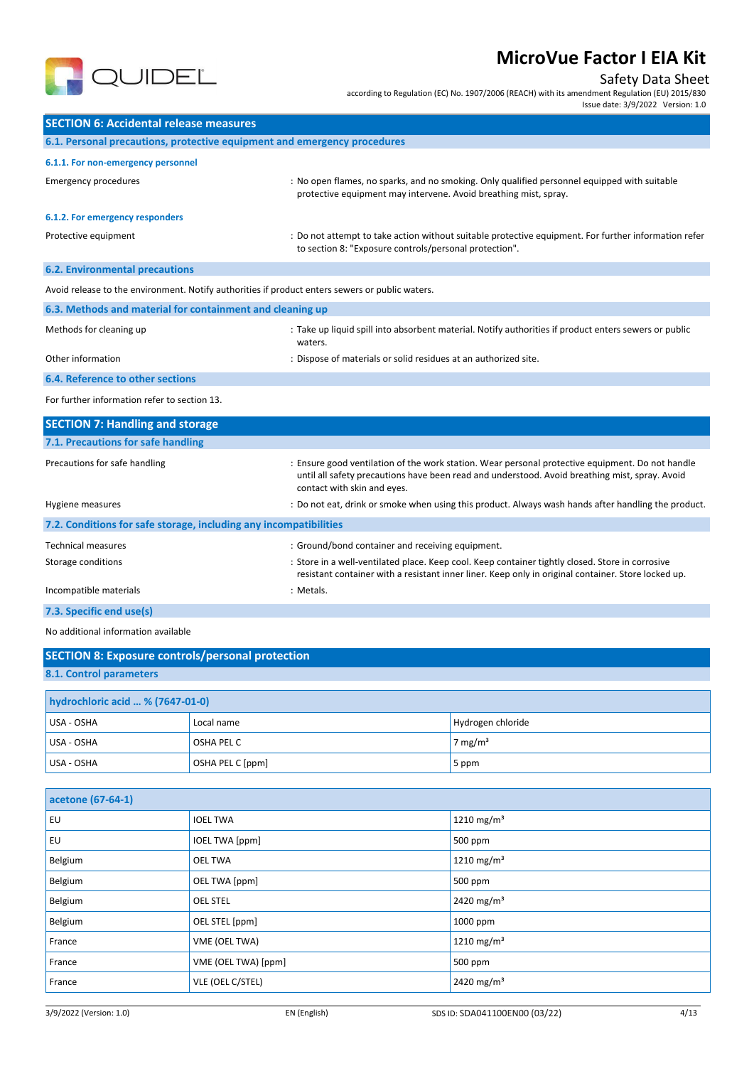

**SECTION 6: Accidental release measures**

# **MicroVue Factor I EIA Kit**

## Safety Data Sheet

according to Regulation (EC) No. 1907/2006 (REACH) with its amendment Regulation (EU) 2015/830

Issue date: 3/9/2022 Version: 1.0

| 6.1. Personal precautions, protective equipment and emergency procedures                        |                                                                                                                                                                  |
|-------------------------------------------------------------------------------------------------|------------------------------------------------------------------------------------------------------------------------------------------------------------------|
| 6.1.1. For non-emergency personnel                                                              |                                                                                                                                                                  |
| <b>Emergency procedures</b>                                                                     | : No open flames, no sparks, and no smoking. Only qualified personnel equipped with suitable<br>protective equipment may intervene. Avoid breathing mist, spray. |
| 6.1.2. For emergency responders                                                                 |                                                                                                                                                                  |
| Protective equipment                                                                            | : Do not attempt to take action without suitable protective equipment. For further information refer<br>to section 8: "Exposure controls/personal protection".   |
| <b>6.2. Environmental precautions</b>                                                           |                                                                                                                                                                  |
| Avoid release to the environment. Notify authorities if product enters sewers or public waters. |                                                                                                                                                                  |
| 6.3. Methods and material for containment and cleaning up                                       |                                                                                                                                                                  |
| Methods for cleaning up                                                                         | : Take up liquid spill into absorbent material. Notify authorities if product enters sewers or public                                                            |

waters. Other information : Dispose of materials or solid residues at an authorized site.

## **6.4. Reference to other sections**

For further information refer to section 13.

| : Ensure good ventilation of the work station. Wear personal protective equipment. Do not handle<br>until all safety precautions have been read and understood. Avoid breathing mist, spray. Avoid<br>contact with skin and eyes. |
|-----------------------------------------------------------------------------------------------------------------------------------------------------------------------------------------------------------------------------------|
| : Do not eat, drink or smoke when using this product. Always wash hands after handling the product.                                                                                                                               |
| 7.2. Conditions for safe storage, including any incompatibilities                                                                                                                                                                 |
| : Ground/bond container and receiving equipment.                                                                                                                                                                                  |
| : Store in a well-ventilated place. Keep cool. Keep container tightly closed. Store in corrosive<br>resistant container with a resistant inner liner. Keep only in original container. Store locked up.                           |
| : Metals.                                                                                                                                                                                                                         |
|                                                                                                                                                                                                                                   |

**7.3. Specific end use(s)**

No additional information available

| <b>SECTION 8: Exposure controls/personal protection</b> |            |                     |  |  |
|---------------------------------------------------------|------------|---------------------|--|--|
| 8.1. Control parameters                                 |            |                     |  |  |
| hydrochloric acid  % (7647-01-0)                        |            |                     |  |  |
| USA - OSHA                                              | Local name | Hydrogen chloride   |  |  |
| USA - OSHA                                              | OSHA PEL C | 7 mg/m <sup>3</sup> |  |  |
| OSHA PEL C [ppm]<br>USA - OSHA<br>5 ppm                 |            |                     |  |  |

| acetone (67-64-1) |                       |                        |  |
|-------------------|-----------------------|------------------------|--|
| EU                | <b>IOEL TWA</b>       | 1210 mg/m <sup>3</sup> |  |
| EU                | <b>IOEL TWA [ppm]</b> | 500 ppm                |  |
| Belgium           | <b>OEL TWA</b>        | 1210 mg/m <sup>3</sup> |  |
| Belgium           | OEL TWA [ppm]         | 500 ppm                |  |
| Belgium           | <b>OEL STEL</b>       | 2420 mg/m <sup>3</sup> |  |
| Belgium           | OEL STEL [ppm]        | 1000 ppm               |  |
| France            | VME (OEL TWA)         | 1210 mg/m <sup>3</sup> |  |
| France            | VME (OEL TWA) [ppm]   | 500 ppm                |  |
| France            | VLE (OEL C/STEL)      | 2420 mg/m <sup>3</sup> |  |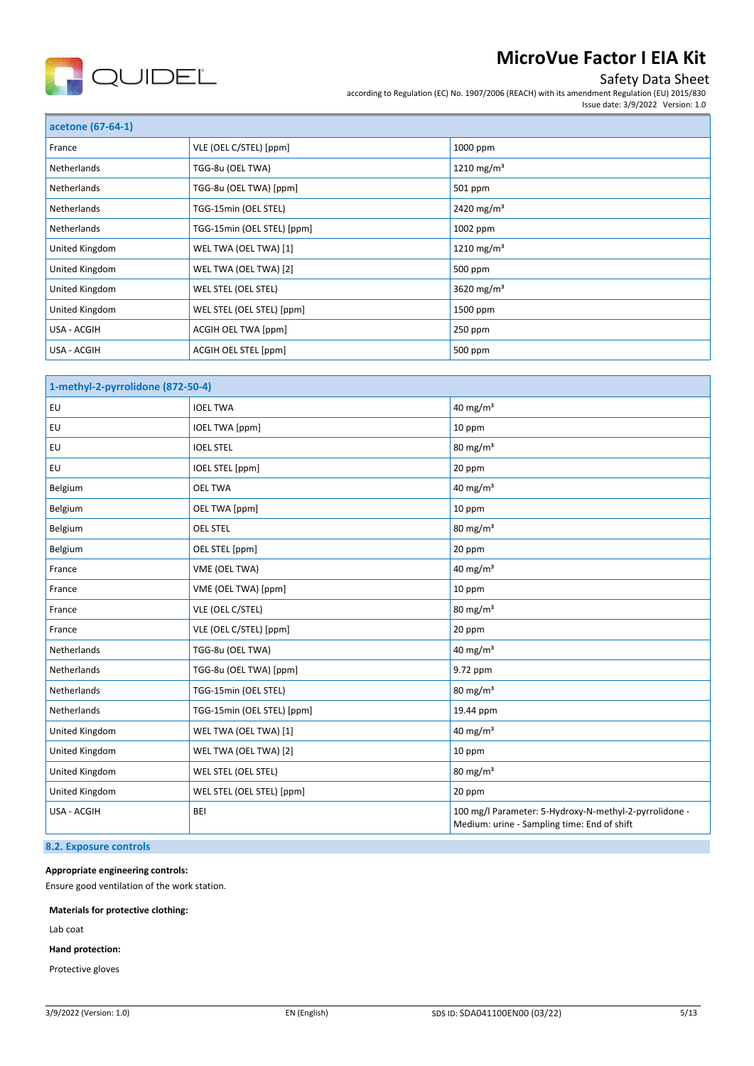

## Safety Data Sheet

according to Regulation (EC) No. 1907/2006 (REACH) with its amendment Regulation (EU) 2015/830 Issue date: 3/9/2022 Version: 1.0

| acetone (67-64-1)  |                            |                        |
|--------------------|----------------------------|------------------------|
| France             | VLE (OEL C/STEL) [ppm]     | 1000 ppm               |
| Netherlands        | TGG-8u (OEL TWA)           | 1210 mg/m <sup>3</sup> |
| <b>Netherlands</b> | TGG-8u (OEL TWA) [ppm]     | 501 ppm                |
| <b>Netherlands</b> | TGG-15min (OEL STEL)       | 2420 mg/m <sup>3</sup> |
| Netherlands        | TGG-15min (OEL STEL) [ppm] | 1002 ppm               |
| United Kingdom     | WEL TWA (OEL TWA) [1]      | 1210 mg/m <sup>3</sup> |
| United Kingdom     | WEL TWA (OEL TWA) [2]      | 500 ppm                |
| United Kingdom     | WEL STEL (OEL STEL)        | 3620 mg/m <sup>3</sup> |
| United Kingdom     | WEL STEL (OEL STEL) [ppm]  | 1500 ppm               |
| USA - ACGIH        | ACGIH OEL TWA [ppm]        | $250$ ppm              |
| USA - ACGIH        | ACGIH OEL STEL [ppm]       | 500 ppm                |

| 1-methyl-2-pyrrolidone (872-50-4) |                            |                                                                                                       |
|-----------------------------------|----------------------------|-------------------------------------------------------------------------------------------------------|
| EU                                | <b>IOEL TWA</b>            | 40 mg/m <sup>3</sup>                                                                                  |
| EU                                | <b>IOEL TWA [ppm]</b>      | 10 ppm                                                                                                |
| EU                                | <b>IOEL STEL</b>           | $80 \text{ mg/m}^3$                                                                                   |
| EU                                | IOEL STEL [ppm]            | 20 ppm                                                                                                |
| Belgium                           | <b>OEL TWA</b>             | $40$ mg/m <sup>3</sup>                                                                                |
| Belgium                           | OEL TWA [ppm]              | 10 ppm                                                                                                |
| Belgium                           | <b>OEL STEL</b>            | $80 \text{ mg/m}^3$                                                                                   |
| Belgium                           | OEL STEL [ppm]             | 20 ppm                                                                                                |
| France                            | VME (OEL TWA)              | 40 mg/m $3$                                                                                           |
| France                            | VME (OEL TWA) [ppm]        | 10 ppm                                                                                                |
| France                            | VLE (OEL C/STEL)           | 80 mg/m <sup>3</sup>                                                                                  |
| France                            | VLE (OEL C/STEL) [ppm]     | 20 ppm                                                                                                |
| Netherlands                       | TGG-8u (OEL TWA)           | 40 mg/m <sup>3</sup>                                                                                  |
| Netherlands                       | TGG-8u (OEL TWA) [ppm]     | 9.72 ppm                                                                                              |
| Netherlands                       | TGG-15min (OEL STEL)       | $80 \text{ mg/m}^3$                                                                                   |
| Netherlands                       | TGG-15min (OEL STEL) [ppm] | 19.44 ppm                                                                                             |
| United Kingdom                    | WEL TWA (OEL TWA) [1]      | 40 mg/m $3$                                                                                           |
| United Kingdom                    | WEL TWA (OEL TWA) [2]      | 10 ppm                                                                                                |
| United Kingdom                    | WEL STEL (OEL STEL)        | $80 \text{ mg/m}^3$                                                                                   |
| United Kingdom                    | WEL STEL (OEL STEL) [ppm]  | 20 ppm                                                                                                |
| USA - ACGIH                       | BEI                        | 100 mg/l Parameter: 5-Hydroxy-N-methyl-2-pyrrolidone -<br>Medium: urine - Sampling time: End of shift |

### **8.2. Exposure controls**

#### **Appropriate engineering controls:**

Ensure good ventilation of the work station.

#### **Materials for protective clothing:**

Lab coat

**Hand protection:**

Protective gloves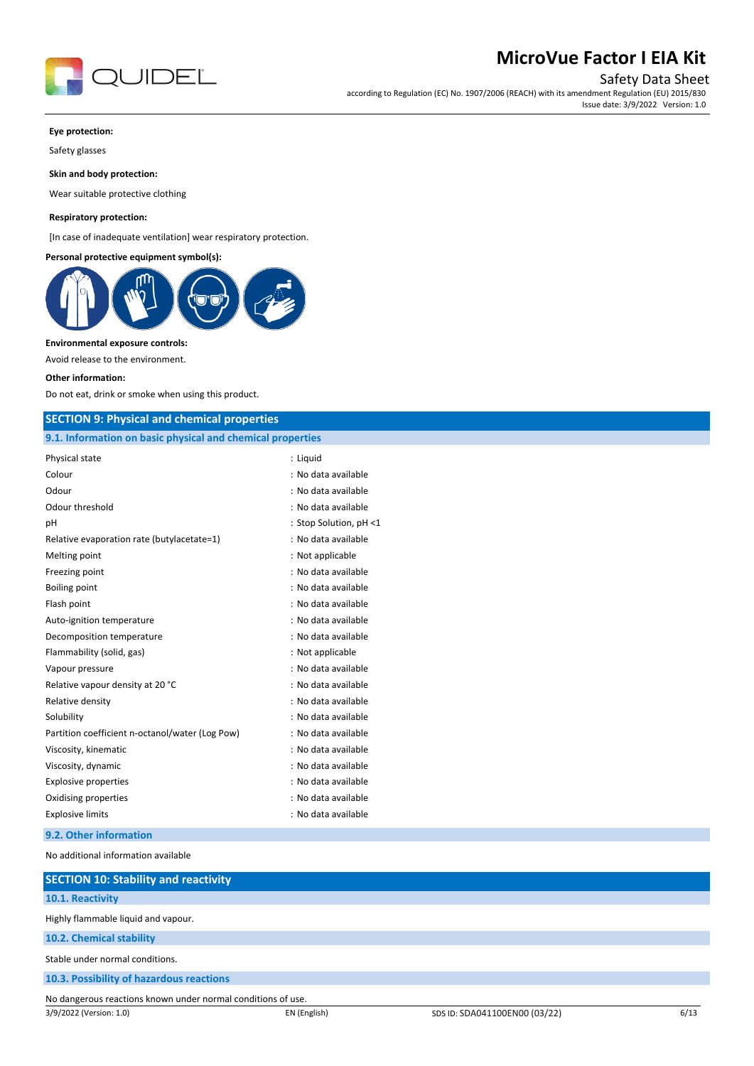

Safety Data Sheet

according to Regulation (EC) No. 1907/2006 (REACH) with its amendment Regulation (EU) 2015/830 Issue date: 3/9/2022 Version: 1.0

#### **Eye protection:**

Safety glasses

**Skin and body protection:**

Wear suitable protective clothing

#### **Respiratory protection:**

[In case of inadequate ventilation] wear respiratory protection.

#### **Personal protective equipment symbol(s):**



#### **Environmental exposure controls:**

Avoid release to the environment.

#### **Other information:**

Do not eat, drink or smoke when using this product.

#### **SECTION 9: Physical and chemical properties**

| 9.1. Information on basic physical and chemical properties |                        |  |
|------------------------------------------------------------|------------------------|--|
| Physical state                                             | : Liguid               |  |
| Colour                                                     | : No data available    |  |
| Odour                                                      | : No data available    |  |
| Odour threshold                                            | : No data available    |  |
| pH                                                         | : Stop Solution, pH <1 |  |
| Relative evaporation rate (butylacetate=1)                 | : No data available    |  |
| Melting point                                              | : Not applicable       |  |
| Freezing point                                             | : No data available    |  |
| <b>Boiling point</b>                                       | : No data available    |  |
| Flash point                                                | : No data available    |  |
| Auto-ignition temperature                                  | : No data available    |  |
| Decomposition temperature                                  | : No data available    |  |
| Flammability (solid, gas)                                  | : Not applicable       |  |
| Vapour pressure                                            | : No data available    |  |
| Relative vapour density at 20 °C                           | : No data available    |  |
| Relative density                                           | : No data available    |  |
| Solubility                                                 | : No data available    |  |
| Partition coefficient n-octanol/water (Log Pow)            | : No data available    |  |
| Viscosity, kinematic                                       | : No data available    |  |
| Viscosity, dynamic                                         | : No data available    |  |
| <b>Explosive properties</b>                                | : No data available    |  |
| Oxidising properties                                       | : No data available    |  |
| <b>Explosive limits</b>                                    | : No data available    |  |
|                                                            |                        |  |

### **9.2. Other information**

No additional information available

| <b>SECTION 10: Stability and reactivity</b>                  |              |                               |      |
|--------------------------------------------------------------|--------------|-------------------------------|------|
| 10.1. Reactivity                                             |              |                               |      |
| Highly flammable liquid and vapour.                          |              |                               |      |
| 10.2. Chemical stability                                     |              |                               |      |
| Stable under normal conditions.                              |              |                               |      |
| 10.3. Possibility of hazardous reactions                     |              |                               |      |
| No dangerous reactions known under normal conditions of use. |              |                               |      |
| 3/9/2022 (Version: 1.0)                                      | EN (English) | SDS ID: SDA041100EN00 (03/22) | 6/13 |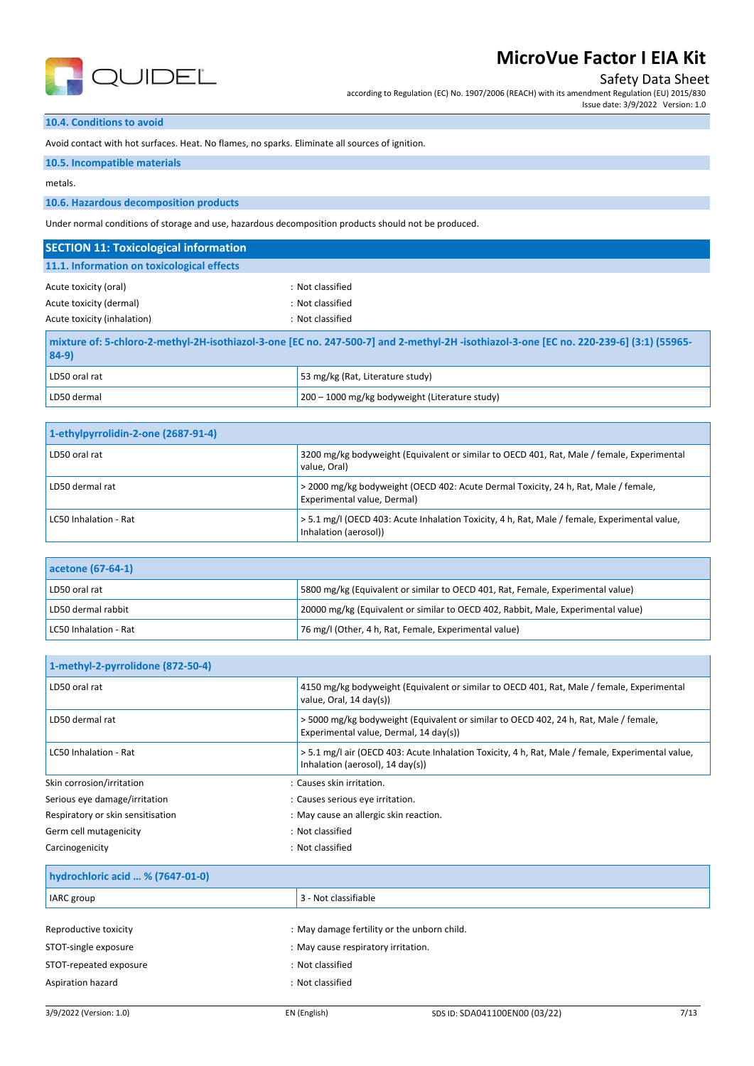

Safety Data Sheet

according to Regulation (EC) No. 1907/2006 (REACH) with its amendment Regulation (EU) 2015/830 Issue date: 3/9/2022 Version: 1.0

#### **10.4. Conditions to avoid**

Avoid contact with hot surfaces. Heat. No flames, no sparks. Eliminate all sources of ignition.

#### **10.5. Incompatible materials**

metals.

#### **10.6. Hazardous decomposition products**

Under normal conditions of storage and use, hazardous decomposition products should not be produced.

| <b>SECTION 11: Toxicological information</b>                                                                                                      |                                                          |  |
|---------------------------------------------------------------------------------------------------------------------------------------------------|----------------------------------------------------------|--|
| 11.1. Information on toxicological effects                                                                                                        |                                                          |  |
| Acute toxicity (oral)<br>Acute toxicity (dermal)<br>Acute toxicity (inhalation)                                                                   | : Not classified<br>: Not classified<br>: Not classified |  |
| mixture of: 5-chloro-2-methyl-2H-isothiazol-3-one [EC no. 247-500-7] and 2-methyl-2H -isothiazol-3-one [EC no. 220-239-6] (3:1) (55965-<br>$84-9$ |                                                          |  |
| LD50 oral rat                                                                                                                                     | 53 mg/kg (Rat, Literature study)                         |  |
| LD50 dermal                                                                                                                                       | 200 – 1000 mg/kg bodyweight (Literature study)           |  |

| 1-ethylpyrrolidin-2-one (2687-91-4) |                                                                                                                        |
|-------------------------------------|------------------------------------------------------------------------------------------------------------------------|
| LD50 oral rat                       | 3200 mg/kg bodyweight (Equivalent or similar to OECD 401, Rat, Male / female, Experimental<br>value. Oral)             |
| LD50 dermal rat                     | > 2000 mg/kg bodyweight (OECD 402: Acute Dermal Toxicity, 24 h, Rat, Male / female,<br>Experimental value, Dermal)     |
| LC50 Inhalation - Rat               | > 5.1 mg/l (OECD 403: Acute Inhalation Toxicity, 4 h, Rat, Male / female, Experimental value,<br>Inhalation (aerosol)) |

| acetone (67-64-1)     |                                                                                   |
|-----------------------|-----------------------------------------------------------------------------------|
| LD50 oral rat         | 5800 mg/kg (Equivalent or similar to OECD 401, Rat, Female, Experimental value)   |
| LD50 dermal rabbit    | 20000 mg/kg (Equivalent or similar to OECD 402, Rabbit, Male, Experimental value) |
| LC50 Inhalation - Rat | 76 mg/l (Other, 4 h, Rat, Female, Experimental value)                             |

| 1-methyl-2-pyrrolidone (872-50-4) |                                                                                                                                                  |
|-----------------------------------|--------------------------------------------------------------------------------------------------------------------------------------------------|
| LD50 oral rat                     | 4150 mg/kg bodyweight (Equivalent or similar to OECD 401, Rat, Male / female, Experimental<br>value, Oral, 14 day(s))                            |
| LD50 dermal rat                   | >5000 mg/kg bodyweight (Equivalent or similar to OECD 402, 24 h, Rat, Male / female,<br>Experimental value, Dermal, 14 day(s))                   |
| LC50 Inhalation - Rat             | > 5.1 mg/l air (OECD 403: Acute Inhalation Toxicity, 4 h, Rat, Male / female, Experimental value,<br>Inhalation (aerosol), $14 \text{ day(s)}$ ) |
| Skin corrosion/irritation         | : Causes skin irritation.                                                                                                                        |
| Serious eye damage/irritation     | : Causes serious eye irritation.                                                                                                                 |
| Respiratory or skin sensitisation | : May cause an allergic skin reaction.                                                                                                           |
| Germ cell mutagenicity            | : Not classified                                                                                                                                 |
| Carcinogenicity                   | : Not classified                                                                                                                                 |

#### **hydrochloric acid … % (7647-01-0)**

| IARC group             | 3 - Not classifiable                        |
|------------------------|---------------------------------------------|
|                        |                                             |
| Reproductive toxicity  | : May damage fertility or the unborn child. |
| STOT-single exposure   | : May cause respiratory irritation.         |
| STOT-repeated exposure | : Not classified                            |
| Aspiration hazard      | : Not classified                            |
|                        |                                             |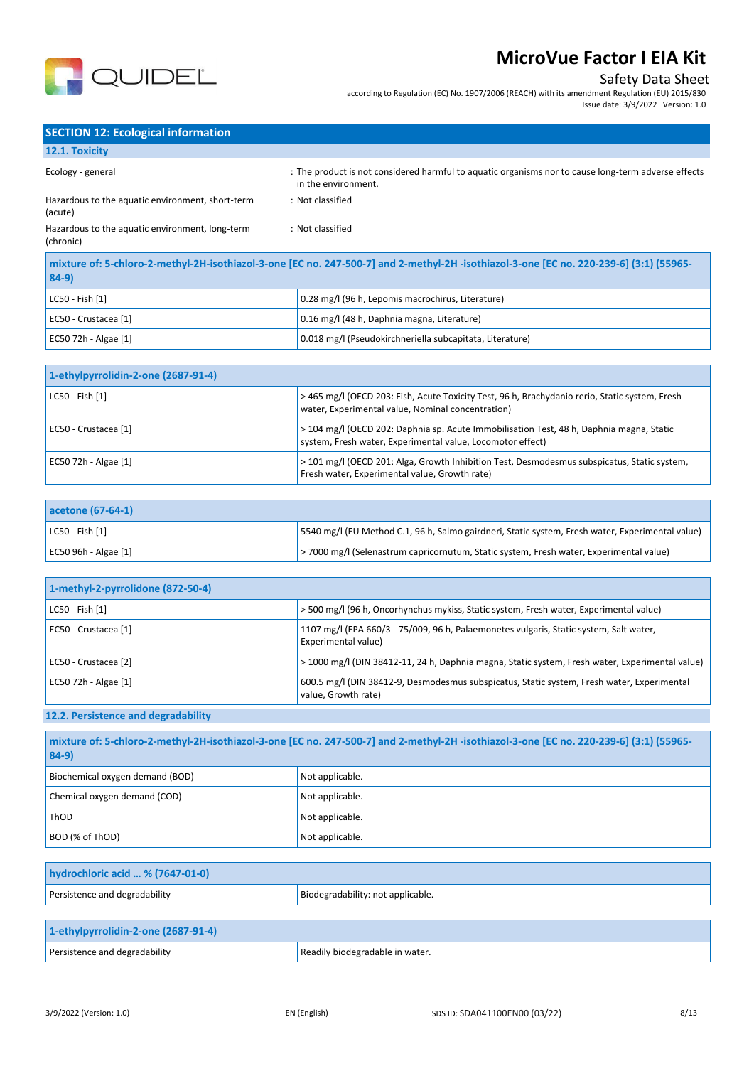

## Safety Data Sheet

according to Regulation (EC) No. 1907/2006 (REACH) with its amendment Regulation (EU) 2015/830 Issue date: 3/9/2022 Version: 1.0

## **SECTION 12: Ecological information**

## **12.1. Toxicity**

| Ecology - general                                            | : The product is not considered harmful to aquatic organisms nor to cause long-term adverse effects<br>in the environment.             |
|--------------------------------------------------------------|----------------------------------------------------------------------------------------------------------------------------------------|
| Hazardous to the aquatic environment, short-term<br>(acute)  | : Not classified                                                                                                                       |
| Hazardous to the aquatic environment, long-term<br>(chronic) | : Not classified                                                                                                                       |
| 0101                                                         | mixture of: 5-chloro-2-methyl-2H-isothiazol-3-one [EC no. 247-500-7] and 2-methyl-2H-isothiazol-3-one [EC no. 220-239-6] (3:1) (55965- |

| $84-9)$              |                                                          |  |
|----------------------|----------------------------------------------------------|--|
| LC50 - Fish [1]      | 0.28 mg/l (96 h, Lepomis macrochirus, Literature)        |  |
| EC50 - Crustacea [1] | 0.16 mg/l (48 h, Daphnia magna, Literature)              |  |
| EC50 72h - Algae [1] | 0.018 mg/l (Pseudokirchneriella subcapitata, Literature) |  |

| 1-ethylpyrrolidin-2-one (2687-91-4) |                                                                                                                                                        |
|-------------------------------------|--------------------------------------------------------------------------------------------------------------------------------------------------------|
| LC50 - Fish [1]                     | > 465 mg/l (OECD 203: Fish, Acute Toxicity Test, 96 h, Brachydanio rerio, Static system, Fresh<br>water, Experimental value, Nominal concentration)    |
| EC50 - Crustacea [1]                | > 104 mg/l (OECD 202: Daphnia sp. Acute Immobilisation Test, 48 h, Daphnia magna, Static<br>system, Fresh water, Experimental value, Locomotor effect) |
| EC50 72h - Algae [1]                | > 101 mg/l (OECD 201: Alga, Growth Inhibition Test, Desmodesmus subspicatus, Static system,<br>Fresh water, Experimental value, Growth rate)           |

| acetone (67-64-1)     |                                                                                                   |
|-----------------------|---------------------------------------------------------------------------------------------------|
| $ $ LC50 - Fish $[1]$ | [5540 mg/l (EU Method C.1, 96 h, Salmo gairdneri, Static system, Fresh water, Experimental value) |
| EC50 96h - Algae [1]  | a > 7000 mg/l (Selenastrum capricornutum, Static system, Fresh water, Experimental value)         |

| 1-methyl-2-pyrrolidone (872-50-4) |                                                                                                                   |
|-----------------------------------|-------------------------------------------------------------------------------------------------------------------|
| LC50 - Fish [1]                   | > 500 mg/l (96 h, Oncorhynchus mykiss, Static system, Fresh water, Experimental value)                            |
| EC50 - Crustacea [1]              | 1107 mg/l (EPA 660/3 - 75/009, 96 h, Palaemonetes vulgaris, Static system, Salt water,<br>Experimental value)     |
| EC50 - Crustacea [2]              | > 1000 mg/l (DIN 38412-11, 24 h, Daphnia magna, Static system, Fresh water, Experimental value)                   |
| EC50 72h - Algae [1]              | 600.5 mg/l (DIN 38412-9, Desmodesmus subspicatus, Static system, Fresh water, Experimental<br>value, Growth rate) |

## **12.2. Persistence and degradability**

| mixture of: 5-chloro-2-methyl-2H-isothiazol-3-one [EC no. 247-500-7] and 2-methyl-2H-isothiazol-3-one [EC no. 220-239-6] (3:1) (55965-<br>$84-9$ |                 |
|--------------------------------------------------------------------------------------------------------------------------------------------------|-----------------|
| Biochemical oxygen demand (BOD)                                                                                                                  | Not applicable. |
| Chemical oxygen demand (COD)                                                                                                                     | Not applicable. |
| ThOD                                                                                                                                             | Not applicable. |
| BOD (% of ThOD)                                                                                                                                  | Not applicable. |

| hydrochloric acid  % (7647-01-0) |                                   |
|----------------------------------|-----------------------------------|
| Persistence and degradability    | Biodegradability: not applicable. |
|                                  |                                   |

| 1-ethylpyrrolidin-2-one (2687-91-4) |                                 |
|-------------------------------------|---------------------------------|
| Persistence and degradability       | Readily biodegradable in water. |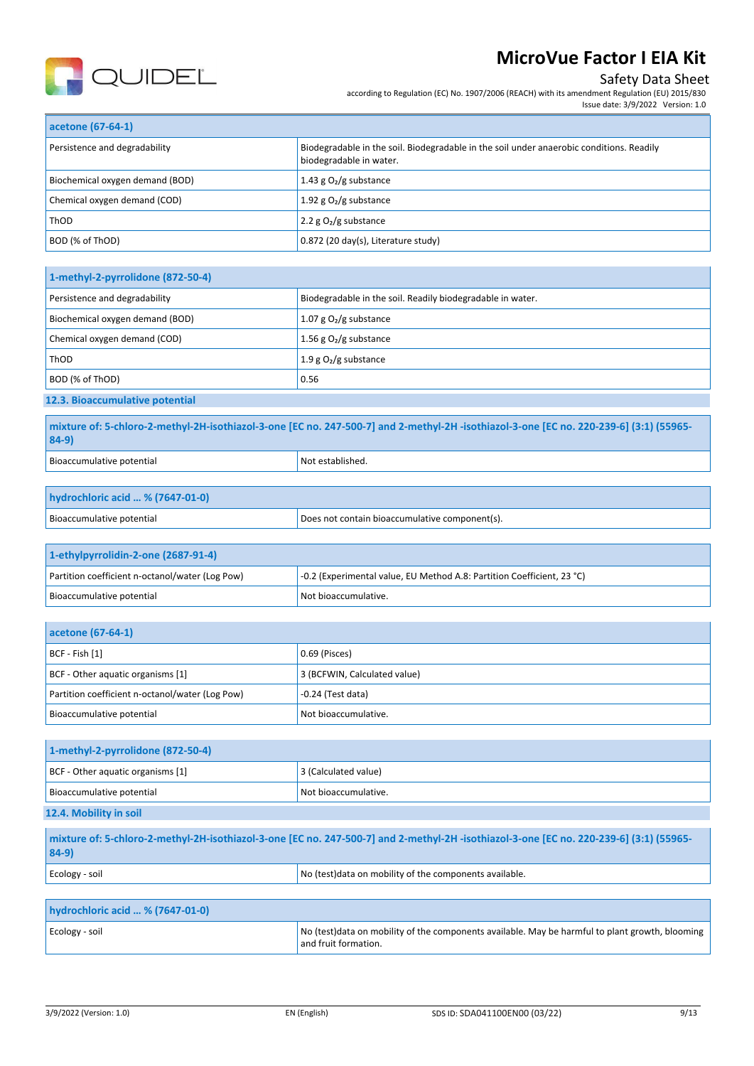

## Safety Data Sheet

Issue date: 3/9/2022 Version: 1.0

according to Regulation (EC) No. 1907/2006 (REACH) with its amendment Regulation (EU) 2015/830

| acetone (67-64-1)               |                                                                                                                     |
|---------------------------------|---------------------------------------------------------------------------------------------------------------------|
| Persistence and degradability   | Biodegradable in the soil. Biodegradable in the soil under anaerobic conditions. Readily<br>biodegradable in water. |
| Biochemical oxygen demand (BOD) | 1.43 g $O2/g$ substance                                                                                             |
| Chemical oxygen demand (COD)    | 1.92 g $O2/g$ substance                                                                                             |
| <b>ThOD</b>                     | 2.2 $g O2/g$ substance                                                                                              |
| BOD (% of ThOD)                 | 0.872 (20 day(s), Literature study)                                                                                 |

| 1-methyl-2-pyrrolidone (872-50-4) |                                                            |
|-----------------------------------|------------------------------------------------------------|
| Persistence and degradability     | Biodegradable in the soil. Readily biodegradable in water. |
| Biochemical oxygen demand (BOD)   | 1.07 g $O_2$ /g substance                                  |
| Chemical oxygen demand (COD)      | 1.56 g $O2/g$ substance                                    |
| ThOD                              | 1.9 g $O_2/g$ substance                                    |
| BOD (% of ThOD)                   | 0.56                                                       |
| 12.3. Bioaccumulative potential   |                                                            |

**mixture of: 5-chloro-2-methyl-2H-isothiazol-3-one [EC no. 247-500-7] and 2-methyl-2H -isothiazol-3-one [EC no. 220-239-6] (3:1) (55965- 84-9)** Bioaccumulative potential Notestablished.

| hydrochloric acid  % (7647-01-0) |                                                |
|----------------------------------|------------------------------------------------|
| Bioaccumulative potential        | Does not contain bioaccumulative component(s). |

| 1-ethylpyrrolidin-2-one (2687-91-4)             |                                                                        |
|-------------------------------------------------|------------------------------------------------------------------------|
| Partition coefficient n-octanol/water (Log Pow) | -0.2 (Experimental value, EU Method A.8: Partition Coefficient, 23 °C) |
| Bioaccumulative potential                       | Not bioaccumulative.                                                   |

| acetone (67-64-1)                               |                              |
|-------------------------------------------------|------------------------------|
| $ BCF - Fish [1]$                               | 0.69 (Pisces)                |
| BCF - Other aquatic organisms [1]               | 3 (BCFWIN, Calculated value) |
| Partition coefficient n-octanol/water (Log Pow) | $-0.24$ (Test data)          |
| Bioaccumulative potential                       | Not bioaccumulative.         |

| 1-methyl-2-pyrrolidone (872-50-4) |                      |
|-----------------------------------|----------------------|
| BCF - Other aquatic organisms [1] | 3 (Calculated value) |
| Bioaccumulative potential         | Not bioaccumulative. |
| 12.4. Mobility in soil            |                      |

```
mixture of: 5-chloro-2-methyl-2H-isothiazol-3-one [EC no. 247-500-7] and 2-methyl-2H -isothiazol-3-one [EC no. 220-239-6] (3:1) (55965-
84-9)
Ecology - soil Ecology - soil No (test)data on mobility of the components available.
hydrochloric acid … % (7647-01-0)
```

| hydrochioric acid  % (7647-01-0) |                                                                                                                          |
|----------------------------------|--------------------------------------------------------------------------------------------------------------------------|
| Ecology - soil                   | No (test) data on mobility of the components available. May be harmful to plant growth, blooming<br>and fruit formation. |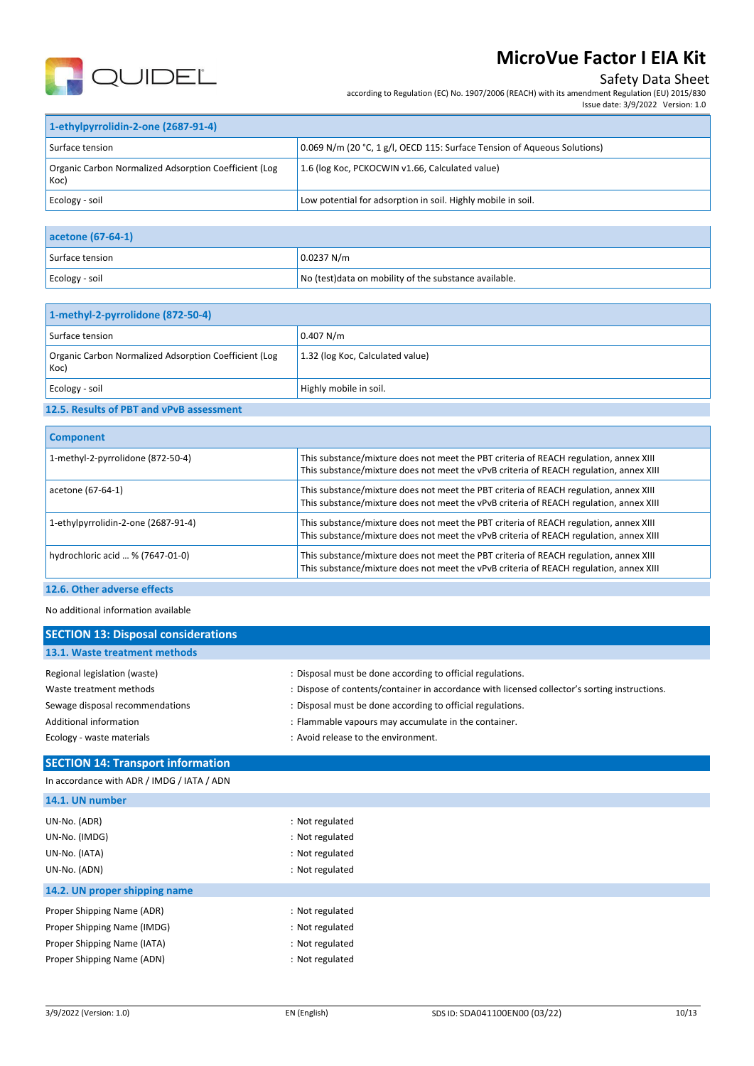

## Safety Data Sheet

according to Regulation (EC) No. 1907/2006 (REACH) with its amendment Regulation (EU) 2015/830

| 1-ethylpyrrolidin-2-one (2687-91-4)                           |                                                                          |  |  |  |
|---------------------------------------------------------------|--------------------------------------------------------------------------|--|--|--|
| Surface tension                                               | 0.069 N/m (20 °C, 1 g/l, OECD 115: Surface Tension of Aqueous Solutions) |  |  |  |
| Organic Carbon Normalized Adsorption Coefficient (Log<br>Koc) | 1.6 (log Koc, PCKOCWIN v1.66, Calculated value)                          |  |  |  |
| Ecology - soil                                                | Low potential for adsorption in soil. Highly mobile in soil.             |  |  |  |

| acetone (67-64-1) |                                                        |  |
|-------------------|--------------------------------------------------------|--|
| Surface tension   | 0.0237 N/m                                             |  |
| Ecology - soil    | No (test) data on mobility of the substance available. |  |

| 1-methyl-2-pyrrolidone (872-50-4)                             |                                  |  |
|---------------------------------------------------------------|----------------------------------|--|
| Surface tension                                               | 0.407 N/m                        |  |
| Organic Carbon Normalized Adsorption Coefficient (Log<br>Koc) | 1.32 (log Koc, Calculated value) |  |
| Ecology - soil                                                | Highly mobile in soil.           |  |

## **12.5. Results of PBT and vPvB assessment**

| <b>Component</b>                    |                                                                                                                                                                                 |
|-------------------------------------|---------------------------------------------------------------------------------------------------------------------------------------------------------------------------------|
| 1-methyl-2-pyrrolidone (872-50-4)   | This substance/mixture does not meet the PBT criteria of REACH regulation, annex XIII<br>This substance/mixture does not meet the vPvB criteria of REACH regulation, annex XIII |
| acetone (67-64-1)                   | This substance/mixture does not meet the PBT criteria of REACH regulation, annex XIII<br>This substance/mixture does not meet the vPvB criteria of REACH regulation, annex XIII |
| 1-ethylpyrrolidin-2-one (2687-91-4) | This substance/mixture does not meet the PBT criteria of REACH regulation, annex XIII<br>This substance/mixture does not meet the vPvB criteria of REACH regulation, annex XIII |
| hydrochloric acid  % (7647-01-0)    | This substance/mixture does not meet the PBT criteria of REACH regulation, annex XIII<br>This substance/mixture does not meet the vPvB criteria of REACH regulation, annex XIII |
|                                     |                                                                                                                                                                                 |

### **12.6. Other adverse effects**

#### No additional information available

| <b>SECTION 13: Disposal considerations</b> |                                                                                               |
|--------------------------------------------|-----------------------------------------------------------------------------------------------|
| 13.1. Waste treatment methods              |                                                                                               |
| Regional legislation (waste)               | : Disposal must be done according to official regulations.                                    |
| Waste treatment methods                    | : Dispose of contents/container in accordance with licensed collector's sorting instructions. |
| Sewage disposal recommendations            | : Disposal must be done according to official regulations.                                    |
| Additional information                     | : Flammable vapours may accumulate in the container.                                          |
| Ecology - waste materials                  | : Avoid release to the environment.                                                           |

### **SECTION 14: Transport information**

|  | In accordance with ADR / IMDG / IATA / ADN |
|--|--------------------------------------------|
|--|--------------------------------------------|

| : Not regulated |
|-----------------|
| : Not regulated |
| : Not regulated |
| : Not regulated |
|                 |
| : Not regulated |
| : Not regulated |
| : Not regulated |
|                 |
|                 |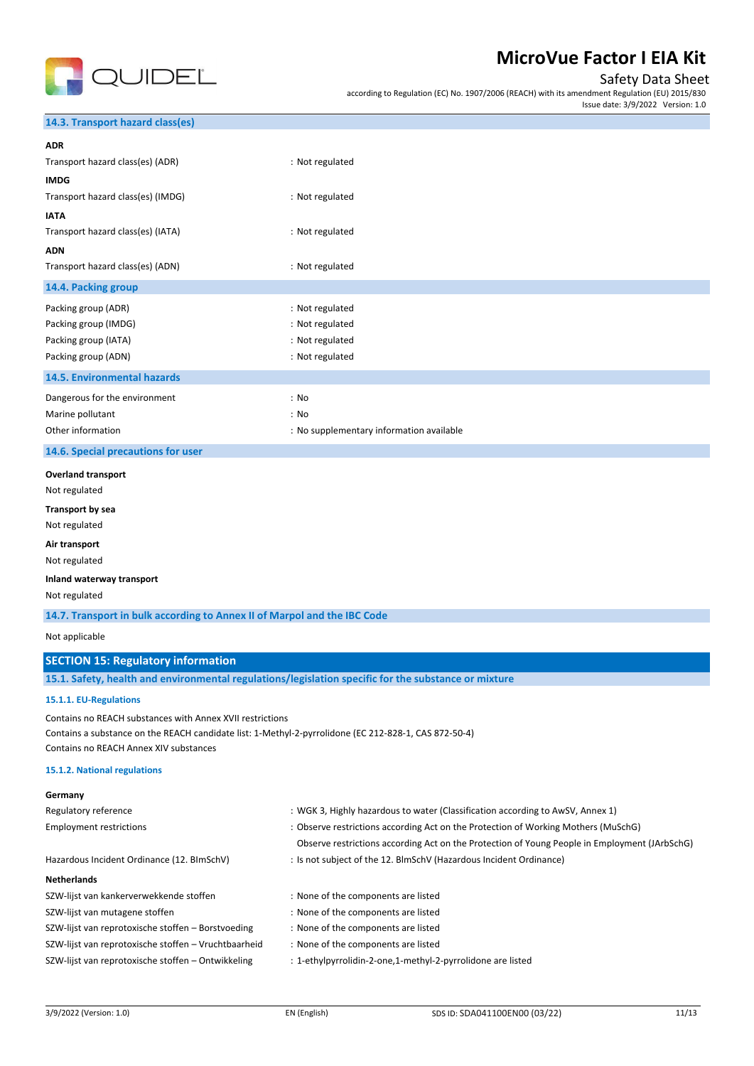

### Safety Data Sheet

according to Regulation (EC) No. 1907/2006 (REACH) with its amendment Regulation (EU) 2015/830 Issue date: 3/9/2022 Version: 1.0

#### **14.3. Transport hazard class(es)**

| <b>ADR</b>                         |                                          |
|------------------------------------|------------------------------------------|
| Transport hazard class(es) (ADR)   | : Not regulated                          |
| <b>IMDG</b>                        |                                          |
| Transport hazard class(es) (IMDG)  | : Not regulated                          |
| <b>IATA</b>                        |                                          |
| Transport hazard class(es) (IATA)  | : Not regulated                          |
| <b>ADN</b>                         |                                          |
| Transport hazard class(es) (ADN)   | : Not regulated                          |
| 14.4. Packing group                |                                          |
| Packing group (ADR)                | : Not regulated                          |
| Packing group (IMDG)               | : Not regulated                          |
| Packing group (IATA)               | : Not regulated                          |
| Packing group (ADN)                | : Not regulated                          |
| 14.5. Environmental hazards        |                                          |
| Dangerous for the environment      | : No                                     |
| Marine pollutant                   | : No                                     |
| Other information                  | : No supplementary information available |
| 14.6. Special precautions for user |                                          |
| <b>Overland transport</b>          |                                          |
| Not regulated                      |                                          |
| <b>Transport by sea</b>            |                                          |
| Not regulated                      |                                          |
| Air transport                      |                                          |
| Not regulated                      |                                          |
| Inland waterway transport          |                                          |
| Not regulated                      |                                          |

**14.7. Transport in bulk according to Annex II of Marpol and the IBC Code**

Not applicable

#### **SECTION 15: Regulatory information**

**15.1. Safety, health and environmental regulations/legislation specific for the substance or mixture**

#### **15.1.1. EU-Regulations**

Contains no REACH substances with Annex XVII restrictions Contains a substance on the REACH candidate list: 1-Methyl-2-pyrrolidone (EC 212-828-1, CAS 872-50-4) Contains no REACH Annex XIV substances

#### **15.1.2. National regulations**

| Germany                                              |                                                                                               |
|------------------------------------------------------|-----------------------------------------------------------------------------------------------|
| Regulatory reference                                 | : WGK 3, Highly hazardous to water (Classification according to AwSV, Annex 1)                |
| <b>Employment restrictions</b>                       | : Observe restrictions according Act on the Protection of Working Mothers (MuSchG)            |
|                                                      | Observe restrictions according Act on the Protection of Young People in Employment (JArbSchG) |
| Hazardous Incident Ordinance (12. BImSchV)           | : Is not subject of the 12. BlmSchV (Hazardous Incident Ordinance)                            |
| <b>Netherlands</b>                                   |                                                                                               |
| SZW-lijst van kankerverwekkende stoffen              | : None of the components are listed                                                           |
| SZW-lijst van mutagene stoffen                       | : None of the components are listed                                                           |
| SZW-lijst van reprotoxische stoffen - Borstvoeding   | : None of the components are listed                                                           |
| SZW-lijst van reprotoxische stoffen - Vruchtbaarheid | : None of the components are listed                                                           |
| SZW-lijst van reprotoxische stoffen - Ontwikkeling   | : 1-ethylpyrrolidin-2-one,1-methyl-2-pyrrolidone are listed                                   |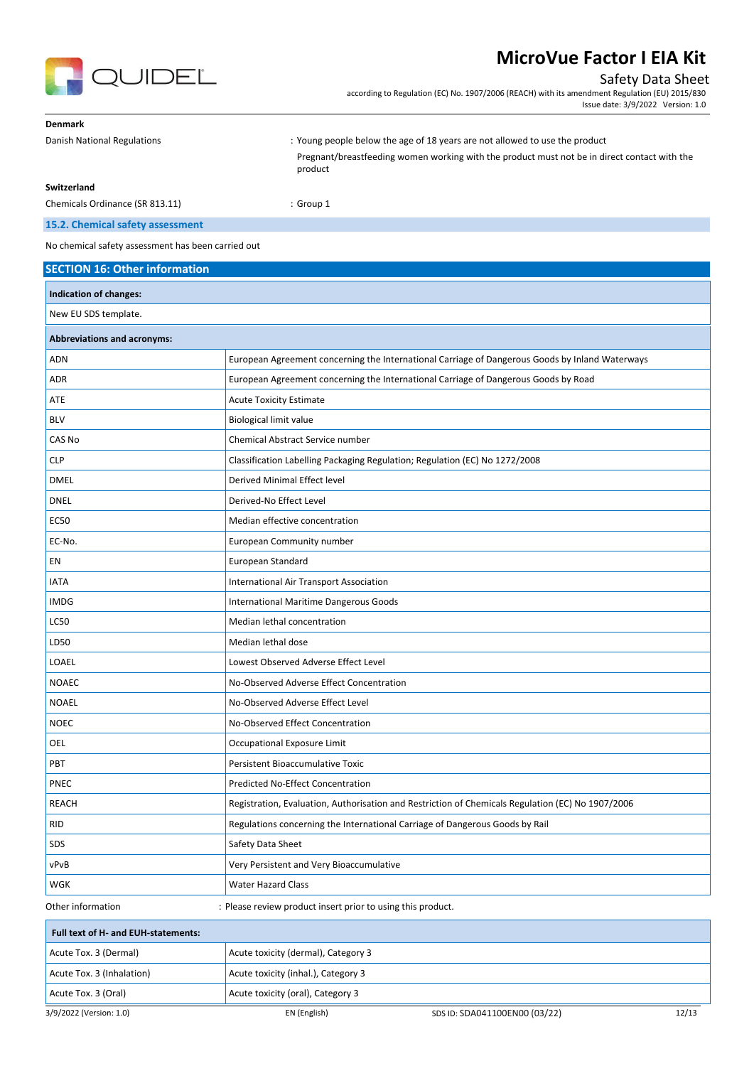



### Safety Data Sheet

according to Regulation (EC) No. 1907/2006 (REACH) with its amendment Regulation (EU) 2015/830 Issue date: 3/9/2022 Version: 1.0

| <b>Denmark</b>                  |                                                                                                         |
|---------------------------------|---------------------------------------------------------------------------------------------------------|
| Danish National Regulations     | : Young people below the age of 18 years are not allowed to use the product                             |
|                                 | Pregnant/breastfeeding women working with the product must not be in direct contact with the<br>product |
| Switzerland                     |                                                                                                         |
| Chemicals Ordinance (SR 813.11) | $:$ Group 1                                                                                             |

### **15.2. Chemical safety assessment**

No chemical safety assessment has been carried out

| <b>SECTION 16: Other information</b> |                                                                                                   |       |
|--------------------------------------|---------------------------------------------------------------------------------------------------|-------|
| Indication of changes:               |                                                                                                   |       |
| New EU SDS template.                 |                                                                                                   |       |
| <b>Abbreviations and acronyms:</b>   |                                                                                                   |       |
| <b>ADN</b>                           | European Agreement concerning the International Carriage of Dangerous Goods by Inland Waterways   |       |
| <b>ADR</b>                           | European Agreement concerning the International Carriage of Dangerous Goods by Road               |       |
| ATE                                  | <b>Acute Toxicity Estimate</b>                                                                    |       |
| <b>BLV</b>                           | <b>Biological limit value</b>                                                                     |       |
| CAS No                               | Chemical Abstract Service number                                                                  |       |
| <b>CLP</b>                           | Classification Labelling Packaging Regulation; Regulation (EC) No 1272/2008                       |       |
| <b>DMEL</b>                          | Derived Minimal Effect level                                                                      |       |
| <b>DNEL</b>                          | Derived-No Effect Level                                                                           |       |
| <b>EC50</b>                          | Median effective concentration                                                                    |       |
| EC-No.                               | European Community number                                                                         |       |
| EN                                   | European Standard                                                                                 |       |
| <b>IATA</b>                          | International Air Transport Association                                                           |       |
| <b>IMDG</b>                          | International Maritime Dangerous Goods                                                            |       |
| <b>LC50</b>                          | Median lethal concentration                                                                       |       |
| LD50                                 | Median lethal dose                                                                                |       |
| LOAEL                                | Lowest Observed Adverse Effect Level                                                              |       |
| <b>NOAEC</b>                         | No-Observed Adverse Effect Concentration                                                          |       |
| <b>NOAEL</b>                         | No-Observed Adverse Effect Level                                                                  |       |
| <b>NOEC</b>                          | No-Observed Effect Concentration                                                                  |       |
| OEL                                  | Occupational Exposure Limit                                                                       |       |
| PBT                                  | Persistent Bioaccumulative Toxic                                                                  |       |
| PNEC                                 | Predicted No-Effect Concentration                                                                 |       |
| <b>REACH</b>                         | Registration, Evaluation, Authorisation and Restriction of Chemicals Regulation (EC) No 1907/2006 |       |
| <b>RID</b>                           | Regulations concerning the International Carriage of Dangerous Goods by Rail                      |       |
| SDS                                  | Safety Data Sheet                                                                                 |       |
| vPvB                                 | Very Persistent and Very Bioaccumulative                                                          |       |
| WGK                                  | <b>Water Hazard Class</b>                                                                         |       |
| Other information                    | : Please review product insert prior to using this product.                                       |       |
| Full text of H- and EUH-statements:  |                                                                                                   |       |
| Acute Tox. 3 (Dermal)                | Acute toxicity (dermal), Category 3                                                               |       |
| Acute Tox. 3 (Inhalation)            | Acute toxicity (inhal.), Category 3                                                               |       |
| Acute Tox. 3 (Oral)                  | Acute toxicity (oral), Category 3                                                                 |       |
| 3/9/2022 (Version: 1.0)              | EN (English)<br>SDS ID: SDA041100EN00 (03/22)                                                     | 12/13 |